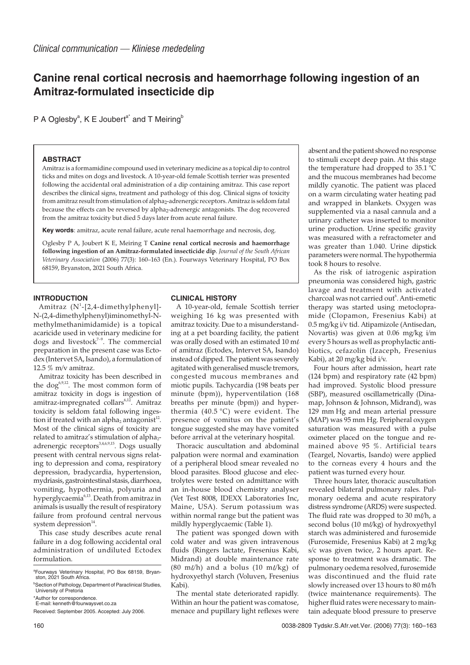# **Canine renal cortical necrosis and haemorrhage following ingestion of an Amitraz-formulated insecticide dip**

P A Oglesby<sup>a</sup>, K E Joubert<sup>a\*</sup> and T Meiring<sup>b</sup>

## **ABSTRACT**

Amitraz is a formamidine compound used in veterinary medicine as a topical dip to control ticks and mites on dogs and livestock. A 10-year-old female Scottish terrier was presented following the accidental oral administration of a dip containing amitraz. This case report describes the clinical signs, treatment and pathology of this dog. Clinical signs of toxicity from amitraz result from stimulation of alpha<sub>2</sub>-adrenergic receptors. Amitraz is seldom fatal because the effects can be reversed by alpha2-adrenergic antagonists. The dog recovered from the amitraz toxicity but died 5 days later from acute renal failure.

**Key words**: amitraz, acute renal failure, acute renal haemorrhage and necrosis, dog.

Oglesby P A, Joubert K E, Meiring T **Canine renal cortical necrosis and haemorrhage following ingestion of an Amitraz-formulated insecticide dip**. *Journal of the South African Veterinary Association* (2006) 77(3): 160–163 (En.). Fourways Veterinary Hospital, PO Box 68159, Bryanston, 2021 South Africa.

### **INTRODUCTION**

Amitraz (N<sup>1</sup>-[2,4-dimethylphenyl]-N-(2,4-dimethylphenyl)iminomethyl-Nmethylmethanimidamide) is a topical acaricide used in veterinary medicine for dogs and livestock $7-9$ . The commercial preparation in the present case was Ectodex (Intervet SA, Isando), a formulation of 12.5 % m/v amitraz.

Amitraz toxicity has been described in the dog<sup>6,9,12</sup>. The most common form of amitraz toxicity in dogs is ingestion of amitraz-impregnated collars<sup>6,12</sup>. Amitraz toxicity is seldom fatal following ingestion if treated with an alpha<sub>2</sub> antagonist<sup>12</sup>. Most of the clinical signs of toxicity are related to amitraz's stimulation of alpha<sub>2</sub>adrenergic receptors $3,4,6,9,15$ . Dogs usually present with central nervous signs relating to depression and coma, respiratory depression, bradycardia, hypertension, mydriasis, gastrointestinal stasis, diarrhoea, vomiting, hypothermia, polyuria and hyperglycaemia6,13. Death from amitraz in animals is usually the result of respiratory failure from profound central nervous system depression $14$ .

This case study describes acute renal failure in a dog following accidental oral administration of undiluted Ectodex formulation.

**CLINICAL HISTORY**

A 10-year-old, female Scottish terrier weighing 16 kg was presented with amitraz toxicity. Due to a misunderstanding at a pet boarding facility, the patient was orally dosed with an estimated 10 m of amitraz (Ectodex, Intervet SA, Isando) instead of dipped. The patient was severely agitated with generalised muscle tremors, congested mucous membranes and miotic pupils. Tachycardia (198 beats per minute (bpm)), hyperventilation (168 breaths per minute (bpm)) and hyperthermia (40.5 °C) were evident. The presence of vomitus on the patient's tongue suggested she may have vomited before arrival at the veterinary hospital.

Thoracic auscultation and abdominal palpation were normal and examination of a peripheral blood smear revealed no blood parasites. Blood glucose and electrolytes were tested on admittance with an in-house blood chemistry analyser (Vet Test 8008, IDEXX Laboratories Inc, Maine, USA). Serum potassium was within normal range but the patient was mildly hyperglycaemic (Table 1).

The patient was sponged down with cold water and was given intravenous fluids (Ringers lactate, Fresenius Kabi, Midrand) at double maintenance rate (80 m $\ell$ h) and a bolus (10 m $\ell$ /kg) of hydroxyethyl starch (Voluven, Fresenius Kabi).

The mental state deteriorated rapidly. Within an hour the patient was comatose, menace and pupillary light reflexes were

absent and the patient showed no response to stimuli except deep pain. At this stage the temperature had dropped to 35.1 °C and the mucous membranes had become mildly cyanotic. The patient was placed on a warm circulating water heating pad and wrapped in blankets. Oxygen was supplemented via a nasal cannula and a urinary catheter was inserted to monitor urine production. Urine specific gravity was measured with a refractometer and was greater than 1.040. Urine dipstick parameters were normal. The hypothermia took 8 hours to resolve.

As the risk of iatrogenic aspiration pneumonia was considered high, gastric lavage and treatment with activated charcoal was not carried out<sup>6</sup>. Anti-emetic therapy was started using metoclopramide (Clopamon, Fresenius Kabi) at 0.5 mg/kg i/v tid. Atipamizole (Antisedan, Novartis) was given at 0.06 mg/kg i/m every 5 hours as well as prophylactic antibiotics, cefazolin (Izaceph, Fresenius Kabi), at 20 mg/kg bid i/v.

Four hours after admission, heart rate (124 bpm) and respiratory rate (42 bpm) had improved. Systolic blood pressure (SBP), measured oscillametrically (Dinamap, Johnson & Johnson, Midrand), was 129 mm Hg and mean arterial pressure (MAP) was 95 mm Hg. Peripheral oxygen saturation was measured with a pulse oximeter placed on the tongue and remained above 95 %. Artificial tears (Teargel, Novartis, Isando) were applied to the corneas every 4 hours and the patient was turned every hour.

Three hours later, thoracic auscultation revealed bilateral pulmonary rales. Pulmonary oedema and acute respiratory distress syndrome (ARDS) were suspected. The fluid rate was dropped to 30 ml/h, a second bolus (10 m $\ell$ /kg) of hydroxyethyl starch was administered and furosemide (Furosemide, Fresenius Kabi) at 2 mg/kg s/c was given twice, 2 hours apart. Response to treatment was dramatic. The pulmonary oedema resolved, furosemide was discontinued and the fluid rate slowly increased over 13 hours to 80 ml/h (twice maintenance requirements). The higher fluid rates were necessary to maintain adequate blood pressure to preserve

a Fourways Veterinary Hospital, PO Box 68159, Bryan-ston, 2021 South Africa.

**BSection of Pathology, Department of Paraclinical Studies,** University of Pretoria

<sup>\*</sup>Author for correspondence. E-mail: kenneth@fourwaysvet.co.za

Received: September 2005. Accepted: July 2006.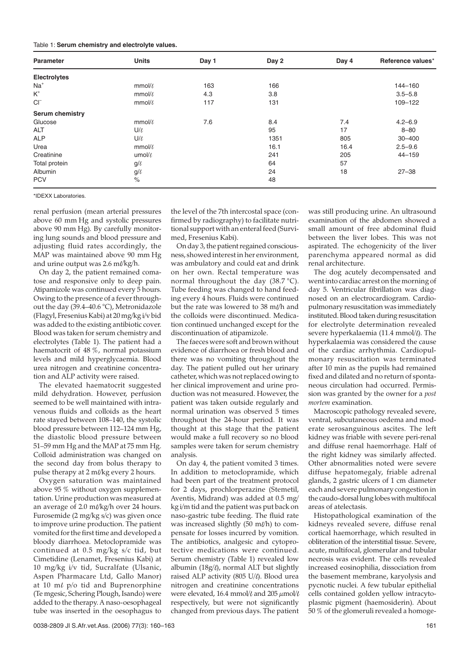| <b>Parameter</b>                     | <b>Units</b> | Day 1 | Day 2 | Day 4 | Reference values* |
|--------------------------------------|--------------|-------|-------|-------|-------------------|
| <b>Electrolytes</b>                  |              |       |       |       |                   |
| $Na+$                                | $mmol/\ell$  | 163   | 166   |       | 144-160           |
| $\mathsf{K}^{\scriptscriptstyle{+}}$ | $mmol/\ell$  | 4.3   | 3.8   |       | $3.5 - 5.8$       |
| $CI^{-}$                             | mmol/l       | 117   | 131   |       | 109-122           |
| Serum chemistry                      |              |       |       |       |                   |
| Glucose                              | $mmol/\ell$  | 7.6   | 8.4   | 7.4   | $4.2 - 6.9$       |
| ALT                                  | U/l          |       | 95    | 17    | $8 - 80$          |
| <b>ALP</b>                           | U/l          |       | 1351  | 805   | $30 - 400$        |
| Urea                                 | $mmol/\ell$  |       | 16.1  | 16.4  | $2.5 - 9.6$       |
| Creatinine                           | umol/l       |       | 241   | 205   | $44 - 159$        |
| Total protein                        | $g/\ell$     |       | 64    | 57    |                   |
| Albumin                              | $g/\ell$     |       | 24    | 18    | $27 - 38$         |
| <b>PCV</b>                           | $\%$         |       | 48    |       |                   |

\*IDEXX Laboratories.

renal perfusion (mean arterial pressures above 60 mm Hg and systolic pressures above 90 mm Hg). By carefully monitoring lung sounds and blood pressure and adjusting fluid rates accordingly, the MAP was maintained above 90 mm Hg and urine output was  $2.6$  m $\ell$ /kg/h.

On day 2, the patient remained comatose and responsive only to deep pain. Atipamizole was continued every 5 hours. Owing to the presence of a fever throughout the day (39.4–40.6 °C), Metronidazole (Flagyl, Fresenius Kabi) at 20 mg/kg i/v bid was added to the existing antibiotic cover. Blood was taken for serum chemistry and electrolytes (Table 1). The patient had a haematocrit of 48 %, normal potassium levels and mild hyperglycaemia. Blood urea nitrogen and creatinine concentration and ALP activity were raised.

The elevated haematocrit suggested mild dehydration. However, perfusion seemed to be well maintained with intravenous fluids and colloids as the heart rate stayed between 108–140, the systolic blood pressure between 112–124 mm Hg, the diastolic blood pressure between 51–59 mm Hg and the MAP at 75 mm Hg. Colloid administration was changed on the second day from bolus therapy to pulse therapy at  $2 \text{ m}$ //kg every  $2 \text{ hours}$ .

Oxygen saturation was maintained above 95 % without oxygen supplementation. Urine production was measured at an average of 2.0 ml/kg/h over 24 hours. Furosemide (2 mg/kg s/c) was given once to improve urine production. The patient vomited for the first time and developed a bloody diarrhoea. Metoclopramide was continued at 0.5 mg/kg s/c tid, but Cimetidine (Lenamet, Fresenius Kabi) at 10 mg/kg i/v tid, Sucralfate (Ulsanic, Aspen Pharmacare Ltd, Gallo Manor) at 10  $\text{m}\ell$  p/o tid and Buprenorphine (Te mgesic, Schering Plough, Isando) were added to the therapy. A naso-oesophageal tube was inserted in the oesophagus to

the level of the 7th intercostal space (confirmed by radiography) to facilitate nutritional support with an enteral feed (Survimed, Fresenius Kabi).

On day 3, the patient regained consciousness, showed interest in her environment, was ambulatory and could eat and drink on her own. Rectal temperature was normal throughout the day (38.7 °C). Tube feeding was changed to hand feeding every 4 hours. Fluids were continued but the rate was lowered to 38 m $\ell$ h and the colloids were discontinued. Medication continued unchanged except for the discontinuation of atipamizole.

The faeces were soft and brown without evidence of diarrhoea or fresh blood and there was no vomiting throughout the day. The patient pulled out her urinary catheter, which was not replaced owing to her clinical improvement and urine production was not measured. However, the patient was taken outside regularly and normal urination was observed 5 times throughout the 24-hour period. It was thought at this stage that the patient would make a full recovery so no blood samples were taken for serum chemistry analysis.

On day 4, the patient vomited 3 times. In addition to metoclopramide, which had been part of the treatment protocol for 2 days, prochlorperazine (Stemetil, Aventis, Midrand) was added at 0.5 mg/ kg i/m tid and the patient was put back on naso-gastric tube feeding. The fluid rate was increased slightly  $(50 \text{ m/h})$  to compensate for losses incurred by vomition. The antibiotics, analgesic and cytoprotective medications were continued. Serum chemistry (Table 1) revealed low albumin (18g/ $\theta$ , normal ALT but slightly raised ALP activity (805 U/0). Blood urea nitrogen and creatinine concentrations were elevated, 16.4 mmol/ $\ell$  and 205  $\mu$ mol/ $\ell$ respectively, but were not significantly changed from previous days. The patient

was still producing urine. An ultrasound examination of the abdomen showed a small amount of free abdominal fluid between the liver lobes. This was not aspirated. The echogenicity of the liver parenchyma appeared normal as did renal architecture.

The dog acutely decompensated and went into cardiac arrest on the morning of day 5. Ventricular fibrillation was diagnosed on an electrocardiogram. Cardiopulmonary resuscitation was immediately instituted. Blood taken during resuscitation for electrolyte determination revealed severe hyperkalaemia (11.4 mmol/ $\ell$ ). The hyperkalaemia was considered the cause of the cardiac arrhythmia. Cardiopulmonary resuscitation was terminated after 10 min as the pupils had remained fixed and dilated and no return of spontaneous circulation had occurred. Permission was granted by the owner for a *post mortem* examination.

Macroscopic pathology revealed severe, ventral, subcutaneous oedema and moderate serosanguinous ascites. The left kidney was friable with severe peri-renal and diffuse renal haemorrhage. Half of the right kidney was similarly affected. Other abnormalities noted were severe diffuse hepatomegaly, friable adrenal glands, 2 gastric ulcers of 1 cm diameter each and severe pulmonary congestion in the caudo-dorsal lung lobes with multifocal areas of atelectasis.

Histopathological examination of the kidneys revealed severe, diffuse renal cortical haemorrhage, which resulted in obliteration of the interstitial tissue. Severe, acute, multifocal, glomerular and tubular necrosis was evident. The cells revealed increased eosinophilia, dissociation from the basement membrane, karyolysis and pycnotic nuclei. A few tubular epithelial cells contained golden yellow intracytoplasmic pigment (haemosiderin). About 50 % of the glomeruli revealed a homoge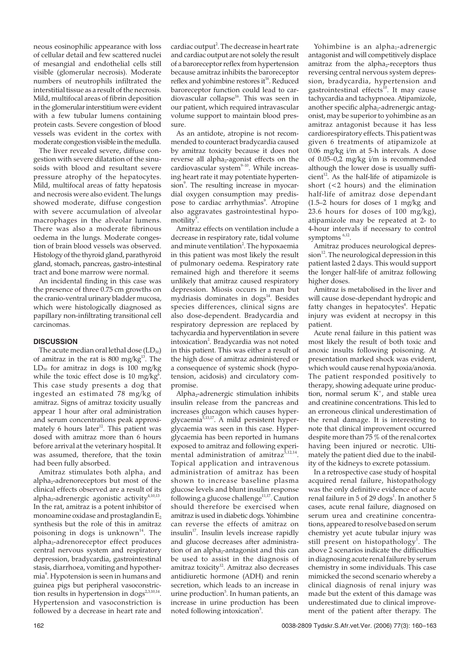neous eosinophilic appearance with loss of cellular detail and few scattered nuclei of mesangial and endothelial cells still visible (glomerular necrosis). Moderate numbers of neutrophils infiltrated the interstitial tissue as a result of the necrosis. Mild, multifocal areas of fibrin deposition in the glomerular interstitium were evident with a few tubular lumens containing protein casts. Severe congestion of blood vessels was evident in the cortex with moderate congestion visible in the medulla.

The liver revealed severe, diffuse congestion with severe dilatation of the sinusoids with blood and resultant severe pressure atrophy of the hepatocytes. Mild, multifocal areas of fatty hepatosis and necrosis were also evident. The lungs showed moderate, diffuse congestion with severe accumulation of alveolar macrophages in the alveolar lumens. There was also a moderate fibrinous oedema in the lungs. Moderate congestion of brain blood vessels was observed. Histology of the thyroid gland, parathyroid gland, stomach, pancreas, gastro-intestinal tract and bone marrow were normal.

An incidental finding in this case was the presence of three 0.75 cm growths on the cranio-ventral urinary bladder mucosa, which were histologically diagnosed as papillary non-infiltrating transitional cell carcinomas.

### **DISCUSSION**

The acute median oral lethal dose  $(LD_{50})$ of amitraz in the rat is  $800 \text{ mg/kg}^{13}$ . The  $LD_{50}$  for amitraz in dogs is 100 mg/kg while the toxic effect dose is 10 mg/kg $6$ . This case study presents a dog that ingested an estimated 78 mg/kg of amitraz. Signs of amitraz toxicity usually appear 1 hour after oral administration and serum concentrations peak approximately 6 hours later<sup>12</sup>. This patient was dosed with amitraz more than 6 hours before arrival at the veterinary hospital. It was assumed, therefore, that the toxin had been fully absorbed.

Amitraz stimulates both alpha $<sub>1</sub>$  and</sub> alpha<sub>2</sub>-adrenoreceptors but most of the clinical effects observed are a result of its alpha<sub>2</sub>-adrenergic agonistic activity<sup>4,10,13</sup>. In the rat, amitraz is a potent inhibitor of monoamine oxidase and prostaglandin  $E_2$ synthesis but the role of this in amitraz poisoning in dogs is unknown $14$ . The alpha<sub>2</sub>-adrenoreceptor effect produces central nervous system and respiratory depression, bradycardia, gastrointestinal stasis, diarrhoea, vomiting and hypothermia<sup>9</sup>. Hypotension is seen in humans and guinea pigs but peripheral vasoconstriction results in hypertension in dogs<sup>2,3,10,14</sup> Hypertension and vasoconstriction is followed by a decrease in heart rate and

cardiac output<sup>2</sup>. The decrease in heart rate and cardiac output are not solely the result of a baroreceptor reflex from hypertension because amitraz inhibits the baroreceptor reflex and yohimbine restores it<sup>16</sup>. Reduced baroreceptor function could lead to cardiovascular collapse<sup>16</sup>. This was seen in our patient, which required intravascular volume support to maintain blood pressure.

As an antidote, atropine is not recommended to counteract bradycardia caused by amitraz toxicity because it does not reverse all alpha<sub>2</sub>-agonist effects on the cardiovascular system $9-10$ . While increasing heart rate it may potentiate hypertension<sup>9</sup>. The resulting increase in myocardial oxygen consumption may predispose to cardiac arrhythmias<sup>9</sup>. Atropine also aggravates gastrointestinal hypomotility<sup>9</sup>.

Amitraz effects on ventilation include a decrease in respiratory rate, tidal volume and minute ventilation<sup>2</sup>. The hypoxaemia in this patient was most likely the result of pulmonary oedema. Respiratory rate remained high and therefore it seems unlikely that amitraz caused respiratory depression. Miosis occurs in man but mydriasis dominates in  $\text{dogs}^{14}$ . Besides species differences, clinical signs are also dose-dependent. Bradycardia and respiratory depression are replaced by tachycardia and hyperventilation in severe intoxication<sup>2</sup>. Bradycardia was not noted in this patient. This was either a result of the high dose of amitraz administered or a consequence of systemic shock (hypotension, acidosis) and circulatory compromise.

Alpha2-adrenergic stimulation inhibits insulin release from the pancreas and increases glucagon which causes hyperglycaemia<sup>5,13,17</sup>. A mild persistent hyperglycaemia was seen in this case. Hyperglycaemia has been reported in humans exposed to amitraz and following experimental administration of amitraz<sup>5,12,14</sup>. Topical application and intravenous administration of amitraz has been shown to increase baseline plasma glucose levels and blunt insulin response following a glucose challenge<sup>11,17</sup>. Caution should therefore be exercised when amitraz is used in diabetic dogs. Yohimbine can reverse the effects of amitraz on insulin<sup>17</sup>. Insulin levels increase rapidly and glucose decreases after administration of an alpha<sub>2</sub>-antagonist and this can be used to assist in the diagnosis of amitraz toxicity<sup>12</sup>. Amitraz also decreases antidiuretic hormone (ADH) and renin secretion, which leads to an increase in urine production<sup>5</sup>. In human patients, an increase in urine production has been noted following intoxication<sup>5</sup>.

Yohimbine is an alpha<sub>2</sub>-adrenergic antagonist and will competitively displace amitraz from the alpha<sub>2</sub>-receptors thus reversing central nervous system depression, bradycardia, hypertension and gastrointestinal effects<sup>10</sup>. It may cause tachycardia and tachypnoea. Atipamizole, another specific alpha<sub>2</sub>-adrenergic antagonist, may be superior to yohimbine as an amitraz antagonist because it has less cardiorespiratory effects. This patient was given 6 treatments of atipamizole at 0.06 mg/kg i/m at 5-h intervals. A dose of 0.05–0,2 mg/kg i/m is recommended although the lower dose is usually suffi $cient^{12}$ . As the half-life of atipamizole is short (<2 hours) and the elimination half-life of amitraz dose dependant (1.5–2 hours for doses of 1 mg/kg and 23.6 hours for doses of 100 mg/kg), atipamizole may be repeated at 2- to 4-hour intervals if necessary to control symptoms 6,12.

Amitraz produces neurological depres $sion<sup>12</sup>$ . The neurological depression in this patient lasted 2 days. This would support the longer half-life of amitraz following higher doses.

Amitraz is metabolised in the liver and will cause dose-dependant hydropic and fatty changes in hepatocytes<sup>8</sup>. Hepatic injury was evident at necropsy in this patient.

Acute renal failure in this patient was most likely the result of both toxic and anoxic insults following poisoning. At presentation marked shock was evident, which would cause renal hypoxia/anoxia. The patient responded positively to therapy, showing adequate urine production, normal serum  $K^+$ , and stable urea and creatinine concentrations. This led to an erroneous clinical underestimation of the renal damage. It is interesting to note that clinical improvement occurred despite more than  $75\%$  of the renal cortex having been injured or necrotic. Ultimately the patient died due to the inability of the kidneys to excrete potassium.

In a retrospective case study of hospital acquired renal failure, histopathology was the only definitive evidence of acute renal failure in 5 of 29  $\mathrm{dogs}^1$ . In another 5 cases, acute renal failure, diagnosed on serum urea and creatinine concentrations, appeared to resolve based on serum chemistry yet acute tubular injury was still present on histopathology $^{\rm 1}.$  The above 2 scenarios indicate the difficulties in diagnosing acute renal failure by serum chemistry in some individuals. This case mimicked the second scenario whereby a clinical diagnosis of renal injury was made but the extent of this damage was underestimated due to clinical improvement of the patient after therapy. The